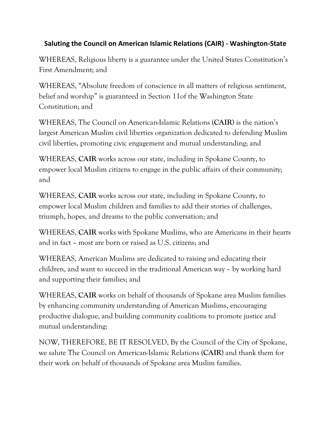## **Saluting the Council on American Islamic Relations (CAIR) - Washington-State**

WHEREAS, Religious liberty is a guarantee under the United States Constitution's First Amendment; and

WHEREAS, "Absolute freedom of conscience in all matters of religious sentiment, belief and worship" is guaranteed in Section 11of the Washington State Constitution; and

WHEREAS, The Council on American-Islamic Relations (**CAIR**) is the nation's largest American Muslim civil liberties organization dedicated to defending Muslim civil liberties, promoting civic engagement and mutual understanding; and

WHEREAS, **CAIR** works across our state, including in Spokane County, to empower local Muslim citizens to engage in the public affairs of their community; and

WHEREAS, **CAIR** works across our state, including in Spokane County, to empower local Muslim children and families to add their stories of challenges, triumph, hopes, and dreams to the public conversation; and

WHEREAS, **CAIR** works with Spokane Muslims, who are Americans in their hearts and in fact – most are born or raised as U.S. citizens; and

WHEREAS, American Muslims are dedicated to raising and educating their children, and want to succeed in the traditional American way – by working hard and supporting their families; and

WHEREAS, **CAIR** works on behalf of thousands of Spokane area Muslim families by enhancing community understanding of American Muslims, encouraging productive dialogue, and building community coalitions to promote justice and mutual understanding;

NOW, THEREFORE, BE IT RESOLVED, By the Council of the City of Spokane, we salute The Council on American-Islamic Relations (**CAIR**) and thank them for their work on behalf of thousands of Spokane area Muslim families.